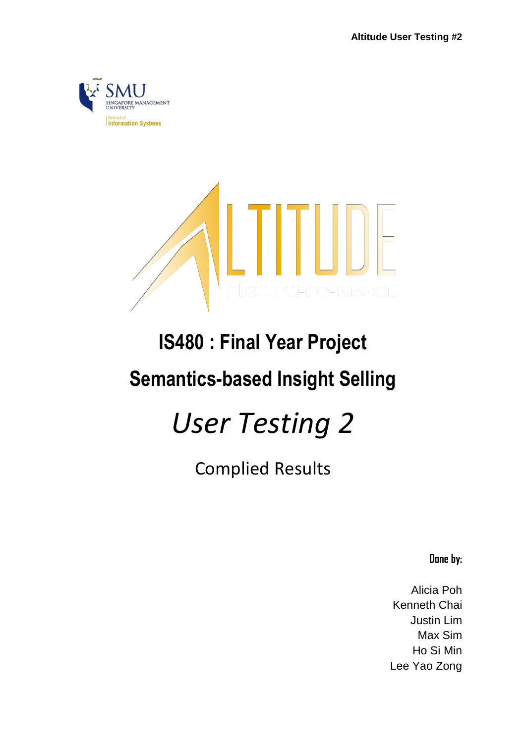



## **IS480 : Final Year Project Semantics-based Insight Selling**

# *User Testing 2*

### Complied Results

**Done by:** 

Alicia Poh Kenneth Chai Justin Lim Max Sim Ho Si Min Lee Yao Zong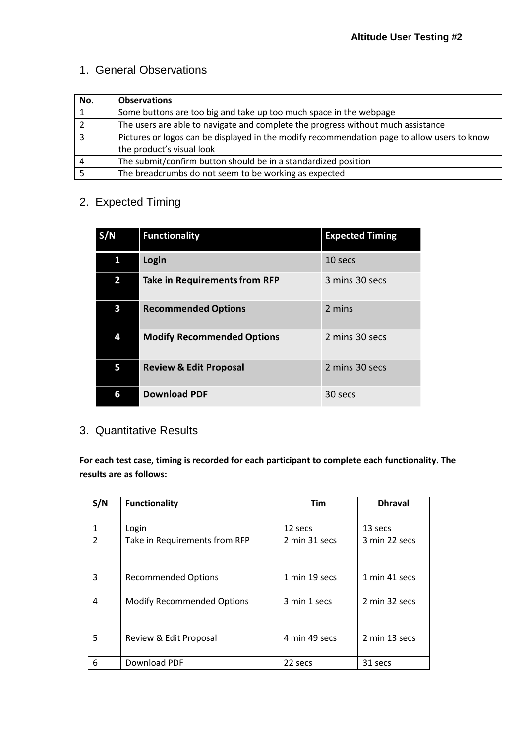#### 1. General Observations

| No. | <b>Observations</b>                                                                         |  |
|-----|---------------------------------------------------------------------------------------------|--|
|     | Some buttons are too big and take up too much space in the webpage                          |  |
|     | The users are able to navigate and complete the progress without much assistance            |  |
|     | Pictures or logos can be displayed in the modify recommendation page to allow users to know |  |
|     | the product's visual look                                                                   |  |
|     | The submit/confirm button should be in a standardized position                              |  |
|     | The breadcrumbs do not seem to be working as expected                                       |  |

#### 2. Expected Timing

| S/N | <b>Functionality</b>                 | <b>Expected Timing</b> |
|-----|--------------------------------------|------------------------|
| 1   | Login                                | 10 secs                |
| 2   | <b>Take in Requirements from RFP</b> | 3 mins 30 secs         |
| 3   | <b>Recommended Options</b>           | 2 mins                 |
| 4   | <b>Modify Recommended Options</b>    | 2 mins 30 secs         |
| 5   | <b>Review &amp; Edit Proposal</b>    | 2 mins 30 secs         |
| 6   | <b>Download PDF</b>                  | 30 secs                |

#### 3. Quantitative Results

**For each test case, timing is recorded for each participant to complete each functionality. The results are as follows:**

| S/N            | <b>Functionality</b>              | <b>Tim</b>    | <b>Dhraval</b> |
|----------------|-----------------------------------|---------------|----------------|
| 1              | Login                             | 12 secs       | 13 secs        |
| $\overline{2}$ | Take in Requirements from RFP     | 2 min 31 secs | 3 min 22 secs  |
| 3              | <b>Recommended Options</b>        | 1 min 19 secs | 1 min 41 secs  |
| 4              | <b>Modify Recommended Options</b> | 3 min 1 secs  | 2 min 32 secs  |
| 5              | Review & Edit Proposal            | 4 min 49 secs | 2 min 13 secs  |
| 6              | Download PDF                      | 22 secs       | 31 secs        |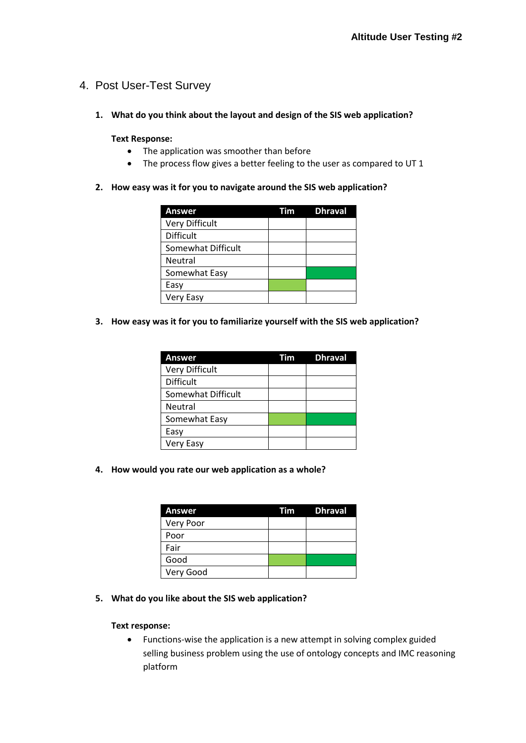#### 4. Post User-Test Survey

**1. What do you think about the layout and design of the SIS web application?** 

#### **Text Response:**

- The application was smoother than before
- The process flow gives a better feeling to the user as compared to UT 1
- **2. How easy was it for you to navigate around the SIS web application?**

| <b>Answer</b>         | Tim | <b>Dhraval</b> |
|-----------------------|-----|----------------|
| <b>Very Difficult</b> |     |                |
| Difficult             |     |                |
| Somewhat Difficult    |     |                |
| <b>Neutral</b>        |     |                |
| Somewhat Easy         |     |                |
| Easy                  |     |                |
| Very Easy             |     |                |

**3. How easy was it for you to familiarize yourself with the SIS web application?** 

| <b>Answer</b>      | Tim | <b>Dhraval</b> |
|--------------------|-----|----------------|
| Very Difficult     |     |                |
| <b>Difficult</b>   |     |                |
| Somewhat Difficult |     |                |
| <b>Neutral</b>     |     |                |
| Somewhat Easy      |     |                |
| Easy               |     |                |
| Very Easy          |     |                |

**4. How would you rate our web application as a whole?** 

| Answer    | Tim Dhraval |
|-----------|-------------|
| Very Poor |             |
| Poor      |             |
| Fair      |             |
| Good      |             |
| Very Good |             |

**5. What do you like about the SIS web application?** 

#### **Text response:**

 Functions-wise the application is a new attempt in solving complex guided selling business problem using the use of ontology concepts and IMC reasoning platform